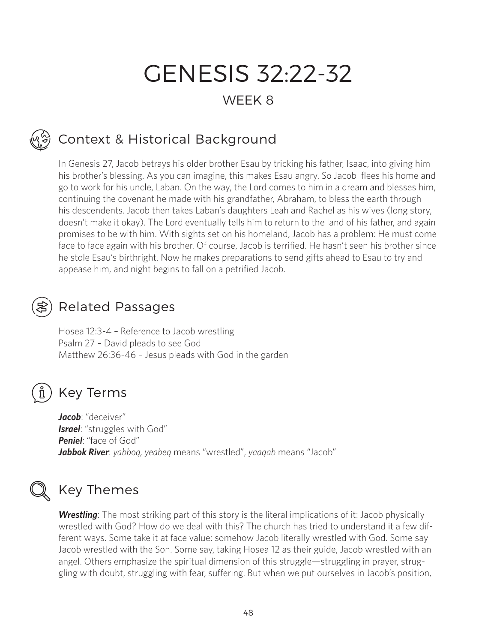# GENESIS 32:22-32

### WEEK 8

## Context & Historical Background

In Genesis 27, Jacob betrays his older brother Esau by tricking his father, Isaac, into giving him his brother's blessing. As you can imagine, this makes Esau angry. So Jacob flees his home and go to work for his uncle, Laban. On the way, the Lord comes to him in a dream and blesses him, continuing the covenant he made with his grandfather, Abraham, to bless the earth through his descendents. Jacob then takes Laban's daughters Leah and Rachel as his wives (long story, doesn't make it okay). The Lord eventually tells him to return to the land of his father, and again promises to be with him. With sights set on his homeland, Jacob has a problem: He must come face to face again with his brother. Of course, Jacob is terrified. He hasn't seen his brother since he stole Esau's birthright. Now he makes preparations to send gifts ahead to Esau to try and appease him, and night begins to fall on a petrified Jacob.

### Related Passages

Hosea 12:3-4 – Reference to Jacob wrestling Psalm 27 – David pleads to see God Matthew 26:36-46 – Jesus pleads with God in the garden

## ກິ

Key Terms

*Jacob*: "deceiver" **Israel**: "struggles with God" *Peniel*: "face of God" *Jabbok River*: *yabboq, yeabeq* means "wrestled", *yaaqab* means "Jacob"

### Key Themes

**Wrestling**: The most striking part of this story is the literal implications of it: Jacob physically wrestled with God? How do we deal with this? The church has tried to understand it a few different ways. Some take it at face value: somehow Jacob literally wrestled with God. Some say Jacob wrestled with the Son. Some say, taking Hosea 12 as their guide, Jacob wrestled with an angel. Others emphasize the spiritual dimension of this struggle—struggling in prayer, struggling with doubt, struggling with fear, suffering. But when we put ourselves in Jacob's position,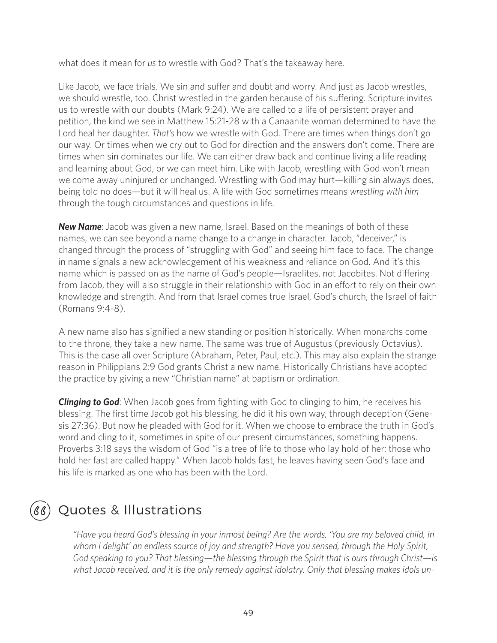what does it mean for *us* to wrestle with God? That's the takeaway here.

Like Jacob, we face trials. We sin and suffer and doubt and worry. And just as Jacob wrestles, we should wrestle, too. Christ wrestled in the garden because of his suffering. Scripture invites us to wrestle with our doubts (Mark 9:24). We are called to a life of persistent prayer and petition, the kind we see in Matthew 15:21-28 with a Canaanite woman determined to have the Lord heal her daughter. *That's* how we wrestle with God. There are times when things don't go our way. Or times when we cry out to God for direction and the answers don't come. There are times when sin dominates our life. We can either draw back and continue living a life reading and learning about God, or we can meet him. Like with Jacob, wrestling with God won't mean we come away uninjured or unchanged. Wrestling with God may hurt—killing sin always does, being told no does—but it will heal us. A life with God sometimes means *wrestling with him* through the tough circumstances and questions in life.

*New Name*: Jacob was given a new name, Israel. Based on the meanings of both of these names, we can see beyond a name change to a change in character. Jacob, "deceiver," is changed through the process of "struggling with God" and seeing him face to face. The change in name signals a new acknowledgement of his weakness and reliance on God. And it's this name which is passed on as the name of God's people—Israelites, not Jacobites. Not differing from Jacob, they will also struggle in their relationship with God in an effort to rely on their own knowledge and strength. And from that Israel comes true Israel, God's church, the Israel of faith (Romans 9:4-8).

A new name also has signified a new standing or position historically. When monarchs come to the throne, they take a new name. The same was true of Augustus (previously Octavius). This is the case all over Scripture (Abraham, Peter, Paul, etc.). This may also explain the strange reason in Philippians 2:9 God grants Christ a new name. Historically Christians have adopted the practice by giving a new "Christian name" at baptism or ordination.

*Clinging to God*: When Jacob goes from fighting with God to clinging to him, he receives his blessing. The first time Jacob got his blessing, he did it his own way, through deception (Genesis 27:36). But now he pleaded with God for it. When we choose to embrace the truth in God's word and cling to it, sometimes in spite of our present circumstances, something happens. Proverbs 3:18 says the wisdom of God "is a tree of life to those who lay hold of her; those who hold her fast are called happy." When Jacob holds fast, he leaves having seen God's face and his life is marked as one who has been with the Lord.

### Quotes & Illustrations

*"Have you heard God's blessing in your inmost being? Are the words, 'You are my beloved child, in whom I delight' an endless source of joy and strength? Have you sensed, through the Holy Spirit, God speaking to you? That blessing—the blessing through the Spirit that is ours through Christ—is what Jacob received, and it is the only remedy against idolatry. Only that blessing makes idols un-*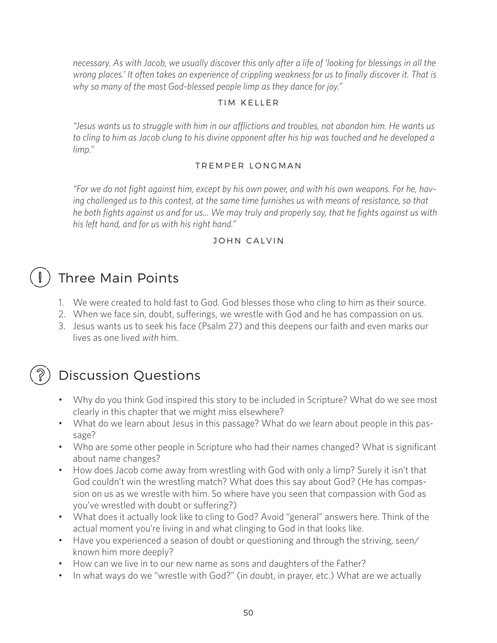*necessary. As with Jacob, we usually discover this only after a life of 'looking for blessings in all the wrong places.' It often takes an experience of crippling weakness for us to finally discover it. That is why so many of the most God-blessed people limp as they dance for joy."* 

### TIM KELLER

*"Jesus wants us to struggle with him in our afflictions and troubles, not abandon him. He wants us to cling to him as Jacob clung to his divine opponent after his hip was touched and he developed a limp."* 

### TREMPER LONGMAN

*"For we do not fight against him, except by his own power, and with his own weapons. For he, having challenged us to this contest, at the same time furnishes us with means of resistance, so that he both fights against us and for us... We may truly and properly say, that he fights against us with his left hand, and for us with his right hand."* 

### JOHN CALVIN

## Three Main Points

- 1. We were created to hold fast to God. God blesses those who cling to him as their source.
- 2. When we face sin, doubt, sufferings, we wrestle with God and he has compassion on us.
- 3. Jesus wants us to seek his face (Psalm 27) and this deepens our faith and even marks our lives as one lived *with* him.

### Discussion Questions

- Why do you think God inspired this story to be included in Scripture? What do we see most clearly in this chapter that we might miss elsewhere?
- What do we learn about Jesus in this passage? What do we learn about people in this passage?
- Who are some other people in Scripture who had their names changed? What is significant about name changes?
- How does Jacob come away from wrestling with God with only a limp? Surely it isn't that God couldn't win the wrestling match? What does this say about God? (He has compassion on us as we wrestle with him. So where have you seen that compassion with God as you've wrestled with doubt or suffering?)
- What does it actually look like to cling to God? Avoid "general" answers here. Think of the actual moment you're living in and what clinging to God in that looks like.
- Have you experienced a season of doubt or questioning and through the striving, seen/ known him more deeply?
- How can we live in to our new name as sons and daughters of the Father?
- In what ways do we "wrestle with God?" (in doubt, in prayer, etc.) What are we actually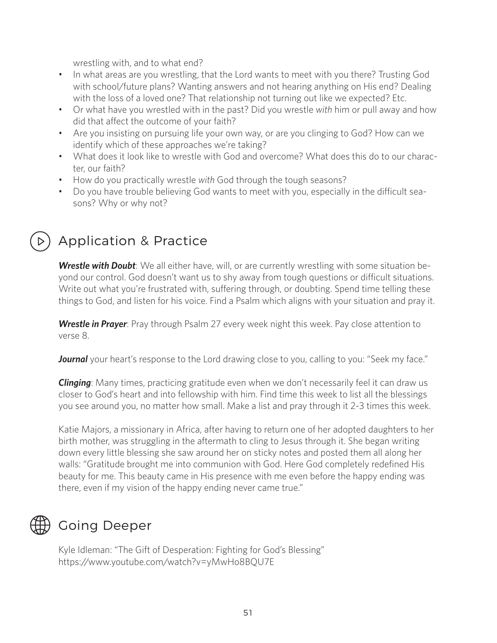wrestling with, and to what end?

- In what areas are you wrestling, that the Lord wants to meet with you there? Trusting God with school/future plans? Wanting answers and not hearing anything on His end? Dealing with the loss of a loved one? That relationship not turning out like we expected? Etc.
- Or what have you wrestled with in the past? Did you wrestle *with* him or pull away and how did that affect the outcome of your faith?
- Are you insisting on pursuing life your own way, or are you clinging to God? How can we identify which of these approaches we're taking?
- What does it look like to wrestle with God and overcome? What does this do to our character, our faith?
- How do you practically wrestle *with* God through the tough seasons?
- Do you have trouble believing God wants to meet with you, especially in the difficult seasons? Why or why not?

### Application & Practice

*Wrestle with Doubt*: We all either have, will, or are currently wrestling with some situation beyond our control. God doesn't want us to shy away from tough questions or difficult situations. Write out what you're frustrated with, suffering through, or doubting. Spend time telling these things to God, and listen for his voice. Find a Psalm which aligns with your situation and pray it.

**Wrestle in Prayer**: Pray through Psalm 27 every week night this week. Pay close attention to verse 8.

**Journal** your heart's response to the Lord drawing close to you, calling to you: "Seek my face."

*Clinging*: Many times, practicing gratitude even when we don't necessarily feel it can draw us closer to God's heart and into fellowship with him. Find time this week to list all the blessings you see around you, no matter how small. Make a list and pray through it 2-3 times this week.

Katie Majors, a missionary in Africa, after having to return one of her adopted daughters to her birth mother, was struggling in the aftermath to cling to Jesus through it. She began writing down every little blessing she saw around her on sticky notes and posted them all along her walls: "Gratitude brought me into communion with God. Here God completely redefined His beauty for me. This beauty came in His presence with me even before the happy ending was there, even if my vision of the happy ending never came true."

### Going Deeper

Kyle Idleman: "The Gift of Desperation: Fighting for God's Blessing" https://www.youtube.com/watch?v=yMwHo8BQU7E